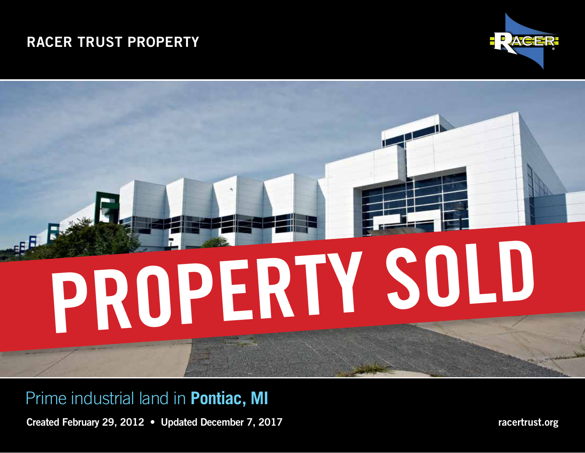# RACER TRUST PROPERTY



# PROPERTY SOLD

Prime industrial land in **Pontiac, MI**

Created February 29, 2012 • Updated December 7, 2017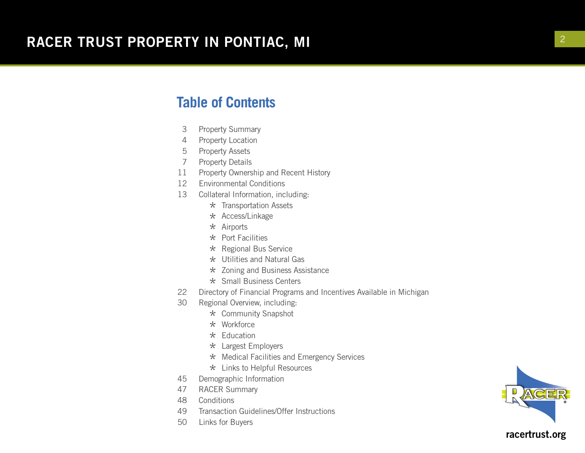#### **Table of Contents**

- 3 Property Summary
- 4 Property Location
- 5 Property Assets
- 7 Property Details
- 11 Property Ownership and Recent History
- 12 Environmental Conditions
- 13 Collateral Information, including:
	- \* Transportation Assets
	- $\star$  Access/Linkage
	- $\star$  Airports
	- $\star$  Port Facilities
	- \* Regional Bus Service
	- \* Utilities and Natural Gas
	- \* Zoning and Business Assistance
	-
- \* Small Business Centers<br>22 Directory of Financial Programs Directory of Financial Programs and Incentives Available in Michigan
- 30 Regional Overview, including:
	- \* Community Snapshot
	- \* Workforce
	- $\star$  Education
	- \* Largest Employers
	- \* Medical Facilities and Emergency Services
- $\star$  Links to Helpful Resources<br>45 Demographic Information
- Demographic Information
- 47 RACER Summary
- 48 Conditions
- 49 Transaction Guidelines/Offer Instructions
- 50 Links for Buyers

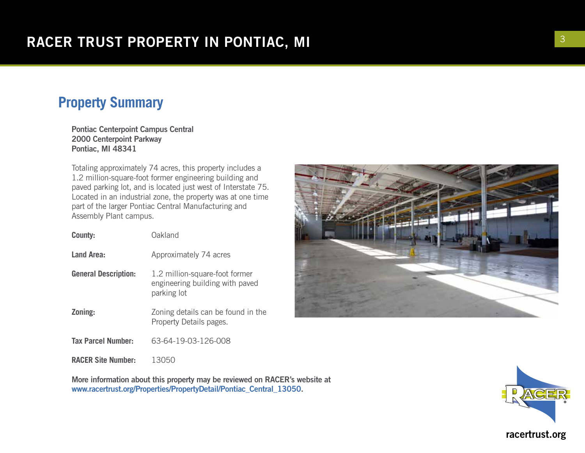## **Property Summary**

Pontiac Centerpoint Campus Central 2000 Centerpoint Parkway Pontiac, MI 48341

Totaling approximately 74 acres, this property includes a 1.2 million-square-foot former engineering building and paved parking lot, and is located just west of Interstate 75. Located in an industrial zone, the property was at one time part of the larger Pontiac Central Manufacturing and Assembly Plant campus.

| County:                     | Oakland                                                                          |
|-----------------------------|----------------------------------------------------------------------------------|
| <b>Land Area:</b>           | Approximately 74 acres                                                           |
| <b>General Description:</b> | 1.2 million-square-foot former<br>engineering building with paved<br>parking lot |
| Zoning:                     | Zoning details can be found in the<br>Property Details pages.                    |
| <b>Tax Parcel Number:</b>   | 63-64-19-03-126-008                                                              |
| <b>RACER Site Number:</b>   | 13050                                                                            |





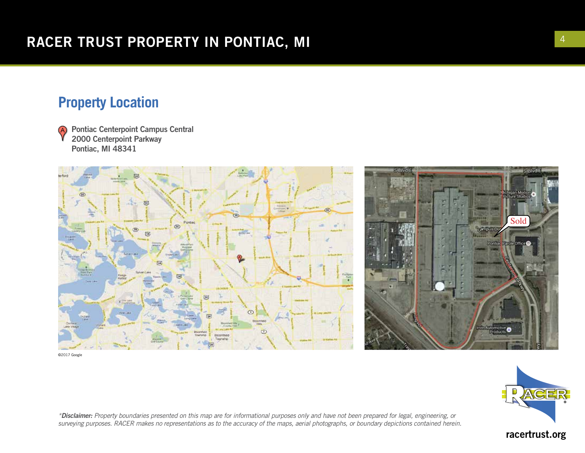#### **Property Location**

Pontiac Centerpoint Campus Central A) 2000 Centerpoint Parkway Pontiac, MI 48341





©2017 Google



*\*Disclaimer: Property boundaries presented on this map are for informational purposes only and have not been prepared for legal, engineering, or surveying purposes. RACER makes no representations as to the accuracy of the maps, aerial photographs, or boundary depictions contained herein.*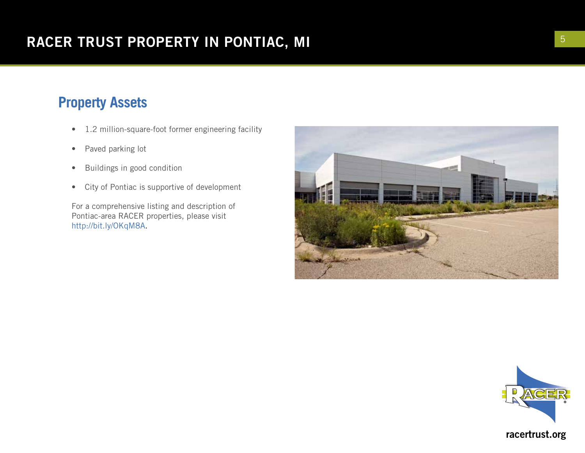# **Property Assets**

- 1.2 million-square-foot former engineering facility
- Paved parking lot
- Buildings in good condition
- City of Pontiac is supportive of development

For a comprehensive listing and description of Pontiac-area RACER properties, please visit http://bit.ly/OKqM8A.



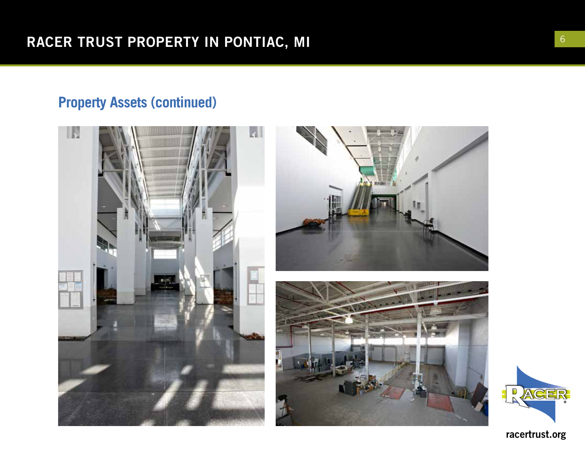# **Property Assets (continued)**



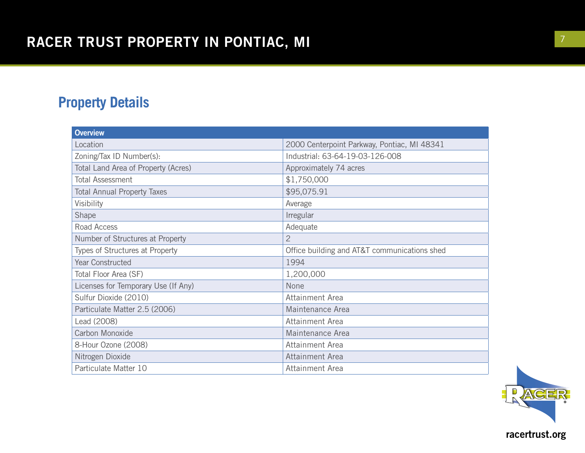# **Property Details**

| <b>Overview</b>                     |                                              |
|-------------------------------------|----------------------------------------------|
| Location                            | 2000 Centerpoint Parkway, Pontiac, MI 48341  |
| Zoning/Tax ID Number(s):            | Industrial: 63-64-19-03-126-008              |
| Total Land Area of Property (Acres) | Approximately 74 acres                       |
| <b>Total Assessment</b>             | \$1,750,000                                  |
| <b>Total Annual Property Taxes</b>  | \$95,075.91                                  |
| Visibility                          | Average                                      |
| Shape                               | Irregular                                    |
| Road Access                         | Adequate                                     |
| Number of Structures at Property    | $\overline{2}$                               |
| Types of Structures at Property     | Office building and AT&T communications shed |
| Year Constructed                    | 1994                                         |
| Total Floor Area (SF)               | 1,200,000                                    |
| Licenses for Temporary Use (If Any) | None                                         |
| Sulfur Dioxide (2010)               | Attainment Area                              |
| Particulate Matter 2.5 (2006)       | Maintenance Area                             |
| Lead (2008)                         | Attainment Area                              |
| Carbon Monoxide                     | Maintenance Area                             |
| 8-Hour Ozone (2008)                 | Attainment Area                              |
| Nitrogen Dioxide                    | Attainment Area                              |
| Particulate Matter 10               | Attainment Area                              |

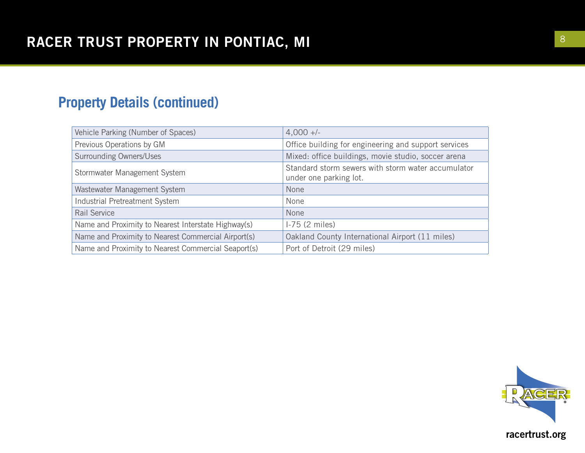# **Property Details (continued)**

| Vehicle Parking (Number of Spaces)                  | $4,000 +/-$                                                                  |
|-----------------------------------------------------|------------------------------------------------------------------------------|
| Previous Operations by GM                           | Office building for engineering and support services                         |
| <b>Surrounding Owners/Uses</b>                      | Mixed: office buildings, movie studio, soccer arena                          |
| Stormwater Management System                        | Standard storm sewers with storm water accumulator<br>under one parking lot. |
| Wastewater Management System                        | None                                                                         |
| Industrial Pretreatment System                      | None                                                                         |
| Rail Service                                        | None                                                                         |
| Name and Proximity to Nearest Interstate Highway(s) | $1-75$ (2 miles)                                                             |
| Name and Proximity to Nearest Commercial Airport(s) | Oakland County International Airport (11 miles)                              |
| Name and Proximity to Nearest Commercial Seaport(s) | Port of Detroit (29 miles)                                                   |

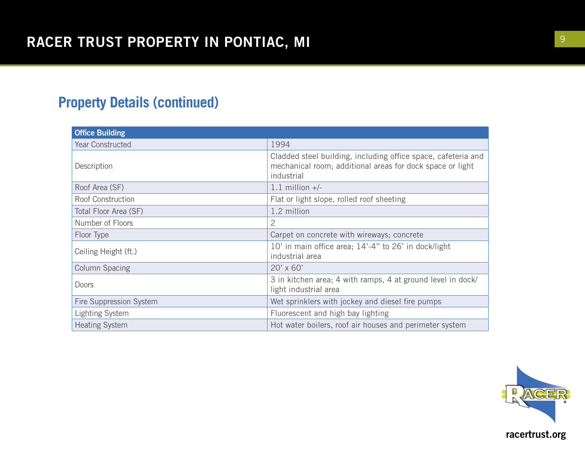# **Property Details (continued)**

| <b>Office Building</b>  |                                                                                                                                          |
|-------------------------|------------------------------------------------------------------------------------------------------------------------------------------|
| <b>Year Constructed</b> | 1994                                                                                                                                     |
| Description             | Cladded steel building, including office space, cafeteria and<br>mechanical room; additional areas for dock space or light<br>industrial |
| Roof Area (SF)          | $1.1$ million $+/-$                                                                                                                      |
| Roof Construction       | Flat or light slope, rolled roof sheeting                                                                                                |
| Total Floor Area (SF)   | 1.2 million                                                                                                                              |
| Number of Floors        | 2                                                                                                                                        |
| Floor Type              | Carpet on concrete with wireways; concrete                                                                                               |
| Ceiling Height (ft.)    | 10' in main office area; 14'-4" to 26' in dock/light<br>industrial area                                                                  |
| <b>Column Spacing</b>   | $20' \times 60'$                                                                                                                         |
| <b>Doors</b>            | 3 in kitchen area; 4 with ramps, 4 at ground level in dock/<br>light industrial area                                                     |
| Fire Suppression System | Wet sprinklers with jockey and diesel fire pumps                                                                                         |
| <b>Lighting System</b>  | Fluorescent and high bay lighting                                                                                                        |
| <b>Heating System</b>   | Hot water boilers, roof air houses and perimeter system                                                                                  |

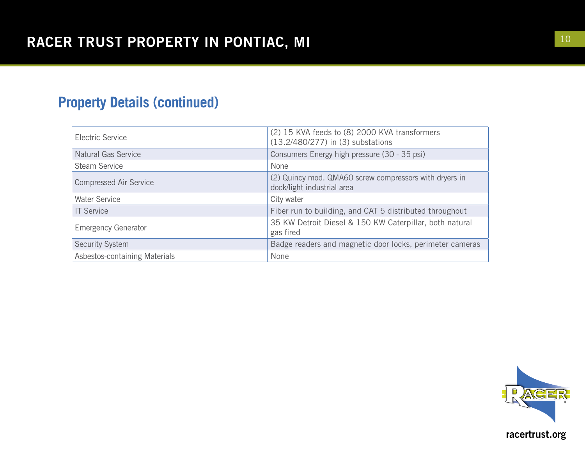# **Property Details (continued)**

| Electric Service              | (2) 15 KVA feeds to (8) 2000 KVA transformers<br>(13.2/480/277) in (3) substations   |
|-------------------------------|--------------------------------------------------------------------------------------|
| <b>Natural Gas Service</b>    | Consumers Energy high pressure (30 - 35 psi)                                         |
| <b>Steam Service</b>          | None                                                                                 |
| <b>Compressed Air Service</b> | (2) Quincy mod. QMA60 screw compressors with dryers in<br>dock/light industrial area |
| <b>Water Service</b>          | City water                                                                           |
| <b>IT Service</b>             | Fiber run to building, and CAT 5 distributed throughout                              |
| <b>Emergency Generator</b>    | 35 KW Detroit Diesel & 150 KW Caterpillar, both natural<br>gas fired                 |
| Security System               | Badge readers and magnetic door locks, perimeter cameras                             |
| Asbestos-containing Materials | None                                                                                 |

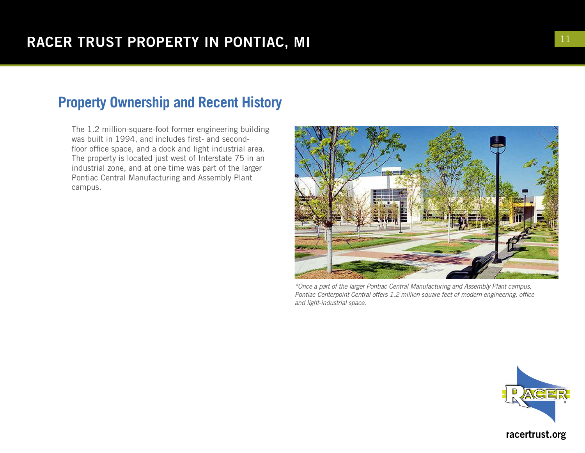## **Property Ownership and Recent History**

The 1.2 million-square-foot former engineering building was built in 1994, and includes first- and secondfloor office space, and a dock and light industrial area. The property is located just west of Interstate 75 in an industrial zone, and at one time was part of the larger Pontiac Central Manufacturing and Assembly Plant campus.



*\*Once a part of the larger Pontiac Central Manufacturing and Assembly Plant campus, Pontiac Centerpoint Central offers 1.2 million square feet of modern engineering, office and light-industrial space.*

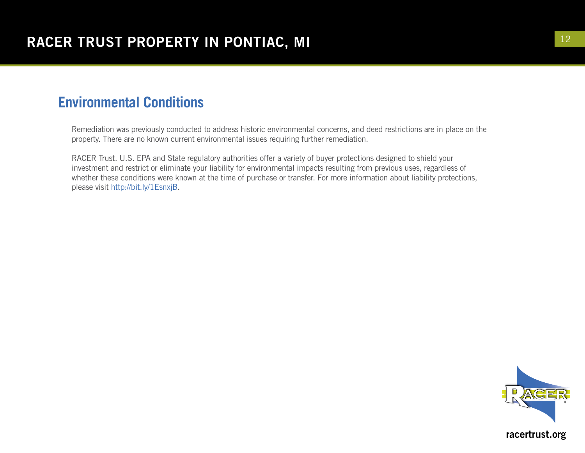## **Environmental Conditions**

Remediation was previously conducted to address historic environmental concerns, and deed restrictions are in place on the property. There are no known current environmental issues requiring further remediation.

RACER Trust, U.S. EPA and State regulatory authorities offer a variety of buyer protections designed to shield your investment and restrict or eliminate your liability for environmental impacts resulting from previous uses, regardless of whether these conditions were known at the time of purchase or transfer. For more information about liability protections, please visit http://bit.ly/1EsnxjB.

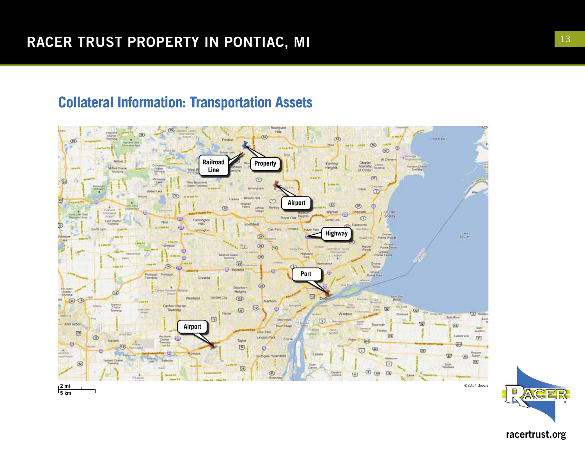#### **Collateral Information: Transportation Assets**



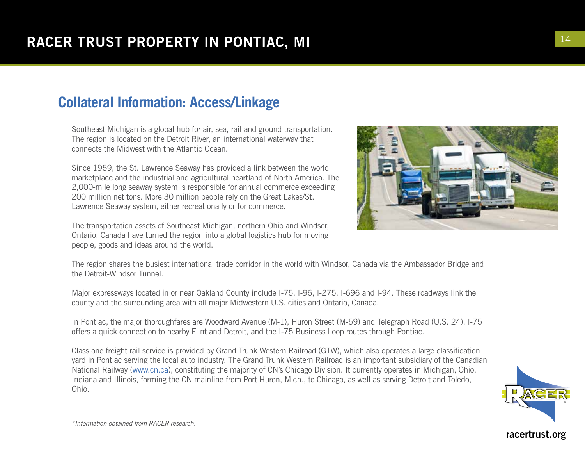## **Collateral Information: Access/Linkage**

Southeast Michigan is a global hub for air, sea, rail and ground transportation. The region is located on the Detroit River, an international waterway that connects the Midwest with the Atlantic Ocean.

Since 1959, the St. Lawrence Seaway has provided a link between the world marketplace and the industrial and agricultural heartland of North America. The 2,000-mile long seaway system is responsible for annual commerce exceeding 200 million net tons. More 30 million people rely on the Great Lakes/St. Lawrence Seaway system, either recreationally or for commerce.

The transportation assets of Southeast Michigan, northern Ohio and Windsor, Ontario, Canada have turned the region into a global logistics hub for moving people, goods and ideas around the world.

The region shares the busiest international trade corridor in the world with Windsor, Canada via the Ambassador Bridge and the Detroit-Windsor Tunnel.

Major expressways located in or near Oakland County include I-75, I-96, I-275, I-696 and I-94. These roadways link the county and the surrounding area with all major Midwestern U.S. cities and Ontario, Canada.

In Pontiac, the major thoroughfares are Woodward Avenue (M-1), Huron Street (M-59) and Telegraph Road (U.S. 24). I-75 offers a quick connection to nearby Flint and Detroit, and the I-75 Business Loop routes through Pontiac.

Class one freight rail service is provided by Grand Trunk Western Railroad (GTW), which also operates a large classification yard in Pontiac serving the local auto industry. The Grand Trunk Western Railroad is an important subsidiary of the Canadian National Railway (www.cn.ca), constituting the majority of CN's Chicago Division. It currently operates in Michigan, Ohio, Indiana and Illinois, forming the CN mainline from Port Huron, Mich., to Chicago, as well as serving Detroit and Toledo, Ohio.



*\*Information obtained from RACER research.*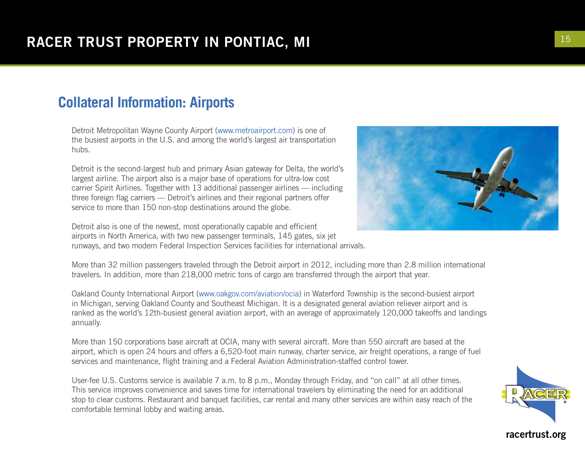#### **Collateral Information: Airports**

Detroit Metropolitan Wayne County Airport (www.metroairport.com) is one of the busiest airports in the U.S. and among the world's largest air transportation hubs.

Detroit is the second-largest hub and primary Asian gateway for Delta, the world's largest airline. The airport also is a major base of operations for ultra-low cost carrier Spirit Airlines. Together with 13 additional passenger airlines — including three foreign flag carriers — Detroit's airlines and their regional partners offer service to more than 150 non-stop destinations around the globe.

Detroit also is one of the newest, most operationally capable and efficient airports in North America, with two new passenger terminals, 145 gates, six jet runways, and two modern Federal Inspection Services facilities for international arrivals.

More than 32 million passengers traveled through the Detroit airport in 2012, including more than 2.8 million international travelers. In addition, more than 218,000 metric tons of cargo are transferred through the airport that year.

Oakland County International Airport (www.oakgov.com/aviation/ocia) in Waterford Township is the second-busiest airport in Michigan, serving Oakland County and Southeast Michigan. It is a designated general aviation reliever airport and is ranked as the world's 12th-busiest general aviation airport, with an average of approximately 120,000 takeoffs and landings annually.

More than 150 corporations base aircraft at OCIA, many with several aircraft. More than 550 aircraft are based at the airport, which is open 24 hours and offers a 6,520-foot main runway, charter service, air freight operations, a range of fuel services and maintenance, flight training and a Federal Aviation Administration-staffed control tower.

User-fee U.S. Customs service is available 7 a.m. to 8 p.m., Monday through Friday, and "on call" at all other times. This service improves convenience and saves time for international travelers by eliminating the need for an additional stop to clear customs. Restaurant and banquet facilities, car rental and many other services are within easy reach of the comfortable terminal lobby and waiting areas.



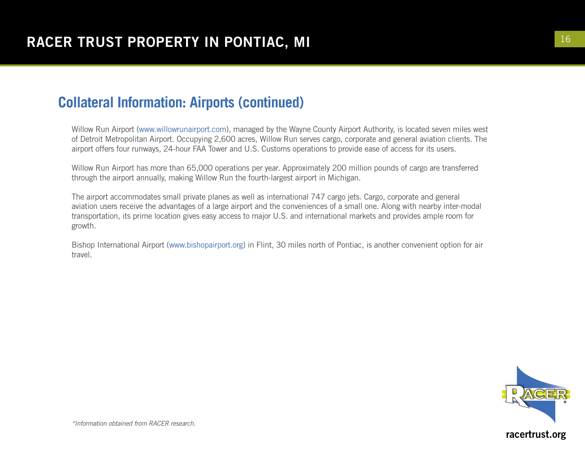#### **Collateral Information: Airports (continued)**

Willow Run Airport (www.willowrunairport.com), managed by the Wayne County Airport Authority, is located seven miles west of Detroit Metropolitan Airport. Occupying 2,600 acres, Willow Run serves cargo, corporate and general aviation clients. The airport offers four runways, 24-hour FAA Tower and U.S. Customs operations to provide ease of access for its users.

Willow Run Airport has more than 65,000 operations per year. Approximately 200 million pounds of cargo are transferred through the airport annually, making Willow Run the fourth-largest airport in Michigan.

The airport accommodates small private planes as well as international 747 cargo jets. Cargo, corporate and general aviation users receive the advantages of a large airport and the conveniences of a small one. Along with nearby inter-modal transportation, its prime location gives easy access to major U.S. and international markets and provides ample room for growth.

Bishop International Airport (www.bishopairport.org) in Flint, 30 miles north of Pontiac, is another convenient option for air travel.

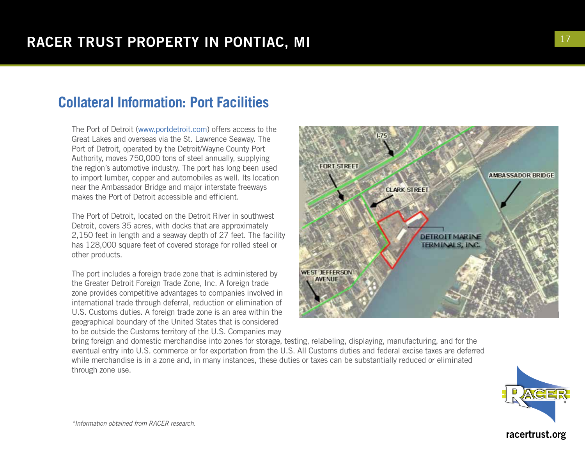#### **Collateral Information: Port Facilities**

The Port of Detroit (www.portdetroit.com) offers access to the Great Lakes and overseas via the St. Lawrence Seaway. The Port of Detroit, operated by the Detroit/Wayne County Port Authority, moves 750,000 tons of steel annually, supplying the region's automotive industry. The port has long been used to import lumber, copper and automobiles as well. Its location near the Ambassador Bridge and major interstate freeways makes the Port of Detroit accessible and efficient.

The Port of Detroit, located on the Detroit River in southwest Detroit, covers 35 acres, with docks that are approximately 2,150 feet in length and a seaway depth of 27 feet. The facility has 128,000 square feet of covered storage for rolled steel or other products.

The port includes a foreign trade zone that is administered by the Greater Detroit Foreign Trade Zone, Inc. A foreign trade zone provides competitive advantages to companies involved in international trade through deferral, reduction or elimination of U.S. Customs duties. A foreign trade zone is an area within the geographical boundary of the United States that is considered to be outside the Customs territory of the U.S. Companies may

**FORT STREET AMBASSADOR BRIDGE CLARK STREET DETROIT MARINE TERMINALS, INC. WEST JEFFERSON AVENUE** 

bring foreign and domestic merchandise into zones for storage, testing, relabeling, displaying, manufacturing, and for the eventual entry into U.S. commerce or for exportation from the U.S. All Customs duties and federal excise taxes are deferred while merchandise is in a zone and, in many instances, these duties or taxes can be substantially reduced or eliminated through zone use.

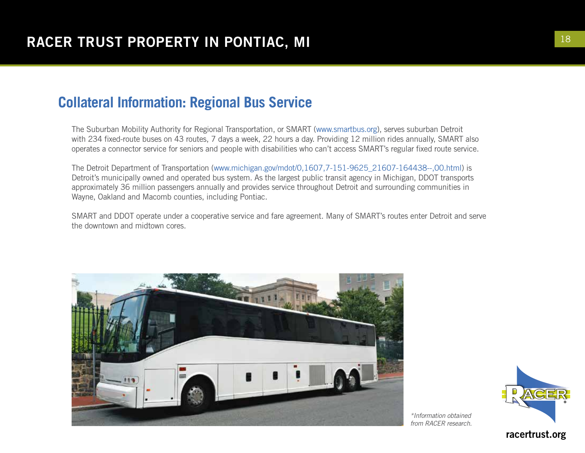#### **Collateral Information: Regional Bus Service**

The Suburban Mobility Authority for Regional Transportation, or SMART (www.smartbus.org), serves suburban Detroit with 234 fixed-route buses on 43 routes, 7 days a week, 22 hours a day. Providing 12 million rides annually, SMART also operates a connector service for seniors and people with disabilities who can't access SMART's regular fixed route service.

The Detroit Department of Transportation (www.michigan.gov/mdot/0,1607,7-151-9625\_21607-164438--,00.html) is Detroit's municipally owned and operated bus system. As the largest public transit agency in Michigan, DDOT transports approximately 36 million passengers annually and provides service throughout Detroit and surrounding communities in Wayne, Oakland and Macomb counties, including Pontiac.

SMART and DDOT operate under a cooperative service and fare agreement. Many of SMART's routes enter Detroit and serve the downtown and midtown cores.



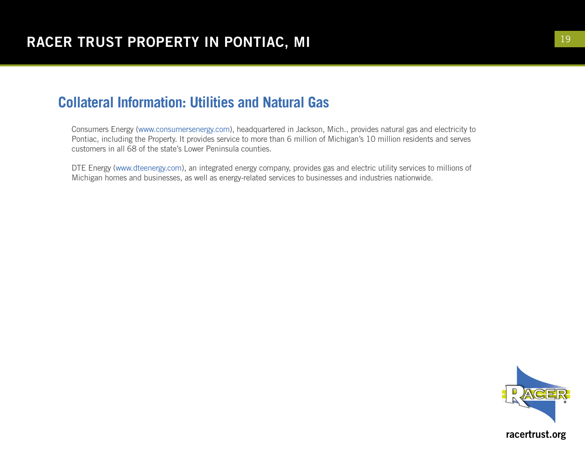#### **Collateral Information: Utilities and Natural Gas**

Consumers Energy (www.consumersenergy.com), headquartered in Jackson, Mich., provides natural gas and electricity to Pontiac, including the Property. It provides service to more than 6 million of Michigan's 10 million residents and serves customers in all 68 of the state's Lower Peninsula counties.

DTE Energy (www.dteenergy.com), an integrated energy company, provides gas and electric utility services to millions of Michigan homes and businesses, as well as energy-related services to businesses and industries nationwide.

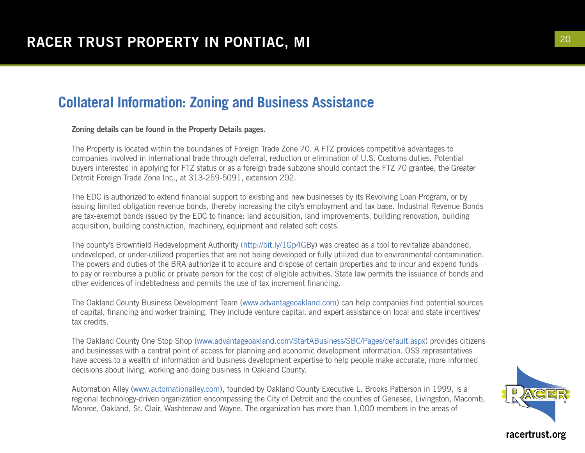#### **Collateral Information: Zoning and Business Assistance**

Zoning details can be found in the Property Details pages.

The Property is located within the boundaries of Foreign Trade Zone 70. A FTZ provides competitive advantages to companies involved in international trade through deferral, reduction or elimination of U.S. Customs duties. Potential buyers interested in applying for FTZ status or as a foreign trade subzone should contact the FTZ 70 grantee, the Greater Detroit Foreign Trade Zone Inc., at 313-259-5091, extension 202.

The EDC is authorized to extend financial support to existing and new businesses by its Revolving Loan Program, or by issuing limited obligation revenue bonds, thereby increasing the city's employment and tax base. Industrial Revenue Bonds are tax-exempt bonds issued by the EDC to finance: land acquisition, land improvements, building renovation, building acquisition, building construction, machinery, equipment and related soft costs.

The county's Brownfield Redevelopment Authority (http://bit.ly/1Gp4GBy) was created as a tool to revitalize abandoned, undeveloped, or under-utilized properties that are not being developed or fully utilized due to environmental contamination. The powers and duties of the BRA authorize it to acquire and dispose of certain properties and to incur and expend funds to pay or reimburse a public or private person for the cost of eligible activities. State law permits the issuance of bonds and other evidences of indebtedness and permits the use of tax increment financing.

The Oakland County Business Development Team (www.advantageoakland.com) can help companies find potential sources of capital, financing and worker training. They include venture capital, and expert assistance on local and state incentives/ tax credits.

The Oakland County One Stop Shop (www.advantageoakland.com/StartABusiness/SBC/Pages/default.aspx) provides citizens and businesses with a central point of access for planning and economic development information. OSS representatives have access to a wealth of information and business development expertise to help people make accurate, more informed decisions about living, working and doing business in Oakland County.

Automation Alley (www.automationalley.com), founded by Oakland County Executive L. Brooks Patterson in 1999, is a regional technology-driven organization encompassing the City of Detroit and the counties of Genesee, Livingston, Macomb, Monroe, Oakland, St. Clair, Washtenaw and Wayne. The organization has more than 1,000 members in the areas of

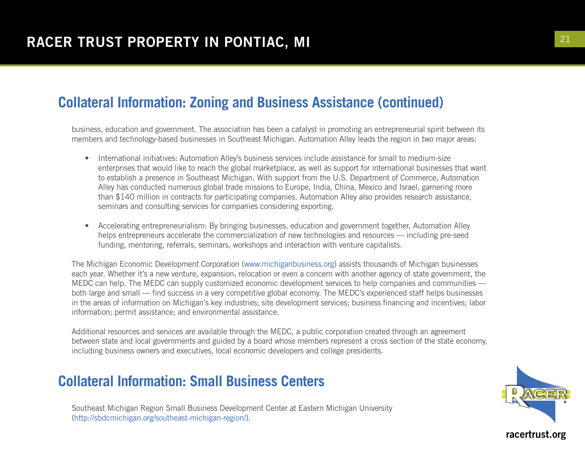#### **Collateral Information: Zoning and Business Assistance (continued)**

business, education and government. The association has been a catalyst in promoting an entrepreneurial spirit between its members and technology-based businesses in Southeast Michigan. Automation Alley leads the region in two major areas:

- International initiatives: Automation Alley's business services include assistance for small to medium-size enterprises that would like to reach the global marketplace, as well as support for international businesses that want to establish a presence in Southeast Michigan. With support from the U.S. Department of Commerce, Automation Alley has conducted numerous global trade missions to Europe, India, China, Mexico and Israel, garnering more than \$140 million in contracts for participating companies. Automation Alley also provides research assistance, seminars and consulting services for companies considering exporting.
- Accelerating entrepreneurialism: By bringing businesses, education and government together, Automation Alley helps entrepreneurs accelerate the commercialization of new technologies and resources — including pre-seed funding, mentoring, referrals, seminars, workshops and interaction with venture capitalists.

The Michigan Economic Development Corporation (www.michiganbusiness.org) assists thousands of Michigan businesses each year. Whether it's a new venture, expansion, relocation or even a concern with another agency of state government, the MEDC can help. The MEDC can supply customized economic development services to help companies and communities both large and small — find success in a very competitive global economy. The MEDC's experienced staff helps businesses in the areas of information on Michigan's key industries; site development services; business financing and incentives; labor information; permit assistance; and environmental assistance.

Additional resources and services are available through the MEDC, a public corporation created through an agreement between state and local governments and guided by a board whose members represent a cross section of the state economy, including business owners and executives, local economic developers and college presidents.

#### **Collateral Information: Small Business Centers**

Southeast Michigan Region Small Business Development Center at Eastern Michigan University (http://sbdcmichigan.org/southeast-michigan-region/).

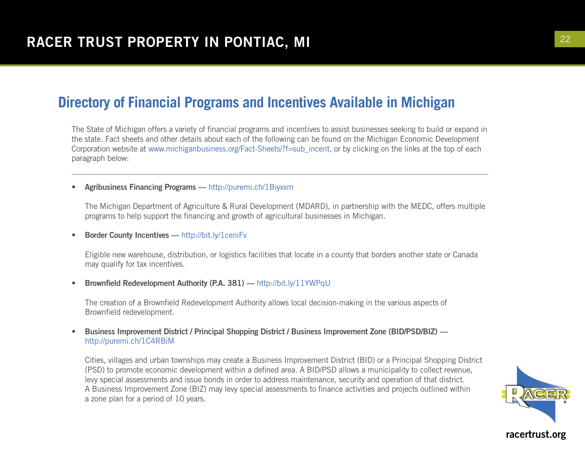The State of Michigan offers a variety of financial programs and incentives to assist businesses seeking to build or expand in the state. Fact sheets and other details about each of the following can be found on the Michigan Economic Development Corporation website at www.michiganbusiness.org/Fact-Sheets/?f=sub\_incent, or by clicking on the links at the top of each paragraph below:

#### • Agribusiness Financing Programs — http://puremi.ch/1Biyxxm

The Michigan Department of Agriculture & Rural Development (MDARD), in partnership with the MEDC, offers multiple programs to help support the financing and growth of agricultural businesses in Michigan.

• Border County Incentives — http://bit.ly/1ceniFv

Eligible new warehouse, distribution, or logistics facilities that locate in a county that borders another state or Canada may qualify for tax incentives.

• Brownfield Redevelopment Authority (P.A. 381) — http://bit.ly/11YWPqU

The creation of a Brownfield Redevelopment Authority allows local decision-making in the various aspects of Brownfield redevelopment.

• Business Improvement District / Principal Shopping District / Business Improvement Zone (BID/PSD/BIZ) http://puremi.ch/1C4RBiM

Cities, villages and urban townships may create a Business Improvement District (BID) or a Principal Shopping District (PSD) to promote economic development within a defined area. A BID/PSD allows a municipality to collect revenue, levy special assessments and issue bonds in order to address maintenance, security and operation of that district. A Business Improvement Zone (BIZ) may levy special assessments to finance activities and projects outlined within a zone plan for a period of 10 years.

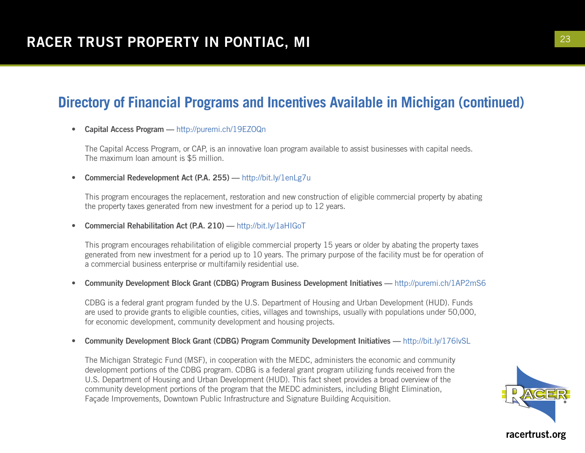• Capital Access Program - http://puremi.ch/19EZOQn

The Capital Access Program, or CAP, is an innovative loan program available to assist businesses with capital needs. The maximum loan amount is \$5 million.

• Commercial Redevelopment Act (P.A. 255) — http://bit.ly/1enLg7u

This program encourages the replacement, restoration and new construction of eligible commercial property by abating the property taxes generated from new investment for a period up to 12 years.

• Commercial Rehabilitation Act (P.A. 210) — http://bit.ly/1aHIGoT

This program encourages rehabilitation of eligible commercial property 15 years or older by abating the property taxes generated from new investment for a period up to 10 years. The primary purpose of the facility must be for operation of a commercial business enterprise or multifamily residential use.

• Community Development Block Grant (CDBG) Program Business Development Initiatives — http://puremi.ch/1AP2mS6

CDBG is a federal grant program funded by the U.S. Department of Housing and Urban Development (HUD). Funds are used to provide grants to eligible counties, cities, villages and townships, usually with populations under 50,000, for economic development, community development and housing projects.

• Community Development Block Grant (CDBG) Program Community Development Initiatives — http://bit.ly/176lvSL

The Michigan Strategic Fund (MSF), in cooperation with the MEDC, administers the economic and community development portions of the CDBG program. CDBG is a federal grant program utilizing funds received from the U.S. Department of Housing and Urban Development (HUD). This fact sheet provides a broad overview of the community development portions of the program that the MEDC administers, including Blight Elimination, Façade Improvements, Downtown Public Infrastructure and Signature Building Acquisition.

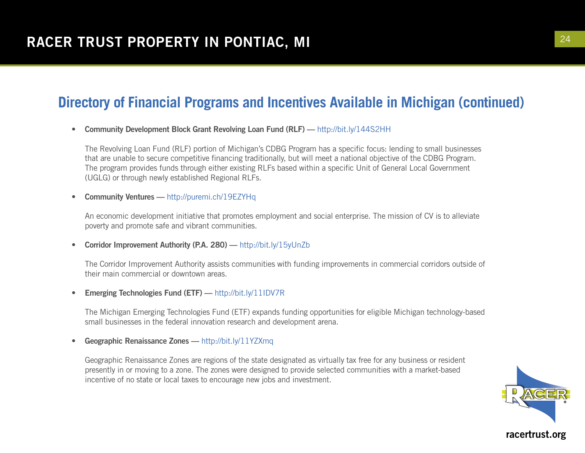• Community Development Block Grant Revolving Loan Fund (RLF) — http://bit.ly/144S2HH

The Revolving Loan Fund (RLF) portion of Michigan's CDBG Program has a specific focus: lending to small businesses that are unable to secure competitive financing traditionally, but will meet a national objective of the CDBG Program. The program provides funds through either existing RLFs based within a specific Unit of General Local Government (UGLG) or through newly established Regional RLFs.

• Community Ventures — http://puremi.ch/19EZYHq

An economic development initiative that promotes employment and social enterprise. The mission of CV is to alleviate poverty and promote safe and vibrant communities.

• Corridor Improvement Authority (P.A. 280) — http://bit.ly/15yUnZb

The Corridor Improvement Authority assists communities with funding improvements in commercial corridors outside of their main commercial or downtown areas.

• Emerging Technologies Fund (ETF) — http://bit.ly/11IDV7R

The Michigan Emerging Technologies Fund (ETF) expands funding opportunities for eligible Michigan technology-based small businesses in the federal innovation research and development arena.

• Geographic Renaissance Zones - http://bit.ly/11YZXmq

Geographic Renaissance Zones are regions of the state designated as virtually tax free for any business or resident presently in or moving to a zone. The zones were designed to provide selected communities with a market-based incentive of no state or local taxes to encourage new jobs and investment.

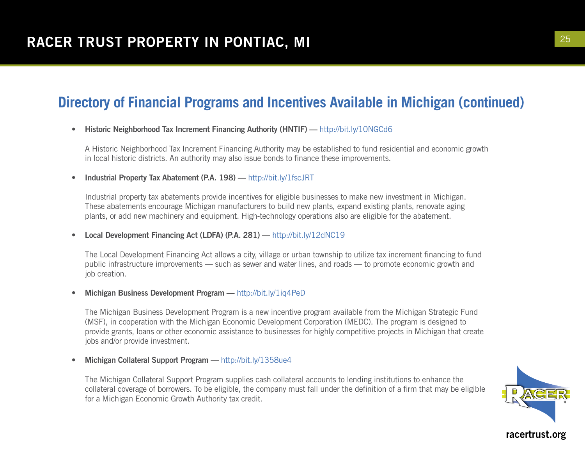#### • Historic Neighborhood Tax Increment Financing Authority (HNTIF) — http://bit.ly/10NGCd6

A Historic Neighborhood Tax Increment Financing Authority may be established to fund residential and economic growth in local historic districts. An authority may also issue bonds to finance these improvements.

• Industrial Property Tax Abatement (P.A. 198) — http://bit.ly/1fscJRT

Industrial property tax abatements provide incentives for eligible businesses to make new investment in Michigan. These abatements encourage Michigan manufacturers to build new plants, expand existing plants, renovate aging plants, or add new machinery and equipment. High-technology operations also are eligible for the abatement.

• Local Development Financing Act (LDFA) (P.A. 281) — http://bit.ly/12dNC19

The Local Development Financing Act allows a city, village or urban township to utilize tax increment financing to fund public infrastructure improvements — such as sewer and water lines, and roads — to promote economic growth and job creation.

• Michigan Business Development Program — http://bit.ly/1iq4PeD

The Michigan Business Development Program is a new incentive program available from the Michigan Strategic Fund (MSF), in cooperation with the Michigan Economic Development Corporation (MEDC). The program is designed to provide grants, loans or other economic assistance to businesses for highly competitive projects in Michigan that create jobs and/or provide investment.

• Michigan Collateral Support Program — http://bit.ly/1358ue4

The Michigan Collateral Support Program supplies cash collateral accounts to lending institutions to enhance the collateral coverage of borrowers. To be eligible, the company must fall under the definition of a firm that may be eligible for a Michigan Economic Growth Authority tax credit.

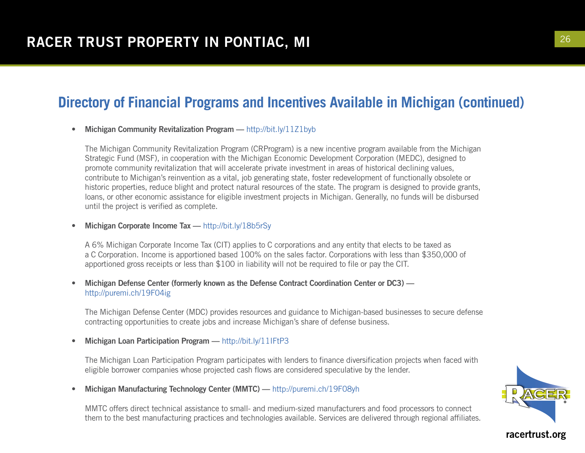#### • Michigan Community Revitalization Program — http://bit.ly/11Z1byb

The Michigan Community Revitalization Program (CRProgram) is a new incentive program available from the Michigan Strategic Fund (MSF), in cooperation with the Michigan Economic Development Corporation (MEDC), designed to promote community revitalization that will accelerate private investment in areas of historical declining values, contribute to Michigan's reinvention as a vital, job generating state, foster redevelopment of functionally obsolete or historic properties, reduce blight and protect natural resources of the state. The program is designed to provide grants, loans, or other economic assistance for eligible investment projects in Michigan. Generally, no funds will be disbursed until the project is verified as complete.

#### • Michigan Corporate Income Tax - http://bit.ly/18b5rSy

A 6% Michigan Corporate Income Tax (CIT) applies to C corporations and any entity that elects to be taxed as a C Corporation. Income is apportioned based 100% on the sales factor. Corporations with less than \$350,000 of apportioned gross receipts or less than \$100 in liability will not be required to file or pay the CIT.

#### • Michigan Defense Center (formerly known as the Defense Contract Coordination Center or DC3) http://puremi.ch/19F04ig

The Michigan Defense Center (MDC) provides resources and guidance to Michigan-based businesses to secure defense contracting opportunities to create jobs and increase Michigan's share of defense business.

#### Michigan Loan Participation Program — http://bit.ly/11IFtP3

The Michigan Loan Participation Program participates with lenders to finance diversification projects when faced with eligible borrower companies whose projected cash flows are considered speculative by the lender.

• Michigan Manufacturing Technology Center (MMTC) — http://puremi.ch/19F08yh

MMTC offers direct technical assistance to small- and medium-sized manufacturers and food processors to connect them to the best manufacturing practices and technologies available. Services are delivered through regional affiliates.

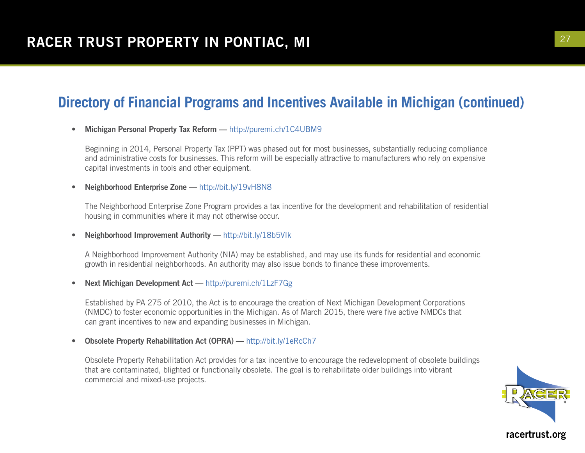• Michigan Personal Property Tax Reform - http://puremi.ch/1C4UBM9

Beginning in 2014, Personal Property Tax (PPT) was phased out for most businesses, substantially reducing compliance and administrative costs for businesses. This reform will be especially attractive to manufacturers who rely on expensive capital investments in tools and other equipment.

• Neighborhood Enterprise Zone - http://bit.ly/19vH8N8

The Neighborhood Enterprise Zone Program provides a tax incentive for the development and rehabilitation of residential housing in communities where it may not otherwise occur.

• Neighborhood Improvement Authority — http://bit.ly/18b5VIk

A Neighborhood Improvement Authority (NIA) may be established, and may use its funds for residential and economic growth in residential neighborhoods. An authority may also issue bonds to finance these improvements.

• Next Michigan Development Act — http://puremi.ch/1LzF7Gg

Established by PA 275 of 2010, the Act is to encourage the creation of Next Michigan Development Corporations (NMDC) to foster economic opportunities in the Michigan. As of March 2015, there were five active NMDCs that can grant incentives to new and expanding businesses in Michigan.

• Obsolete Property Rehabilitation Act (OPRA) — http://bit.ly/1eRcCh7

Obsolete Property Rehabilitation Act provides for a tax incentive to encourage the redevelopment of obsolete buildings that are contaminated, blighted or functionally obsolete. The goal is to rehabilitate older buildings into vibrant commercial and mixed-use projects.

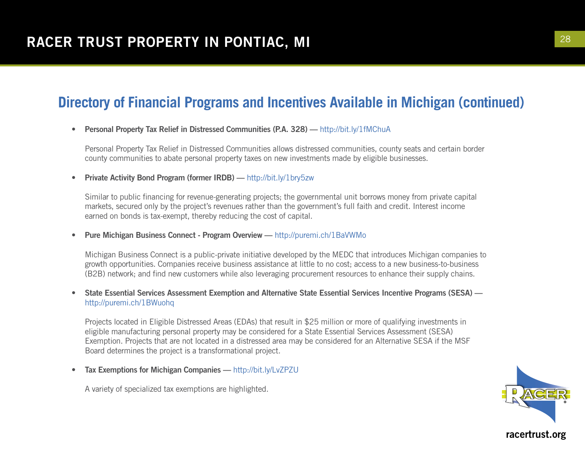#### • Personal Property Tax Relief in Distressed Communities (P.A. 328) — http://bit.ly/1fMChuA

Personal Property Tax Relief in Distressed Communities allows distressed communities, county seats and certain border county communities to abate personal property taxes on new investments made by eligible businesses.

• Private Activity Bond Program (former IRDB) — http://bit.ly/1bry5zw

Similar to public financing for revenue-generating projects; the governmental unit borrows money from private capital markets, secured only by the project's revenues rather than the government's full faith and credit. Interest income earned on bonds is tax-exempt, thereby reducing the cost of capital.

• Pure Michigan Business Connect - Program Overview — http://puremi.ch/1BaVWMo

Michigan Business Connect is a public-private initiative developed by the MEDC that introduces Michigan companies to growth opportunities. Companies receive business assistance at little to no cost; access to a new business-to-business (B2B) network; and find new customers while also leveraging procurement resources to enhance their supply chains.

• State Essential Services Assessment Exemption and Alternative State Essential Services Incentive Programs (SESA) http://puremi.ch/1BWuohq

Projects located in Eligible Distressed Areas (EDAs) that result in \$25 million or more of qualifying investments in eligible manufacturing personal property may be considered for a State Essential Services Assessment (SESA) Exemption. Projects that are not located in a distressed area may be considered for an Alternative SESA if the MSF Board determines the project is a transformational project.

Tax Exemptions for Michigan Companies — http://bit.ly/LvZPZU

A variety of specialized tax exemptions are highlighted.

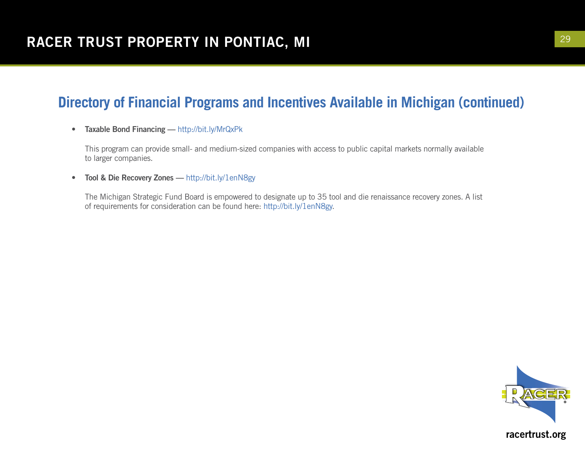• Taxable Bond Financing — http://bit.ly/MrQxPk

This program can provide small- and medium-sized companies with access to public capital markets normally available to larger companies.

• Tool & Die Recovery Zones — http://bit.ly/1enN8gy

The Michigan Strategic Fund Board is empowered to designate up to 35 tool and die renaissance recovery zones. A list of requirements for consideration can be found here: http://bit.ly/1enN8gy.

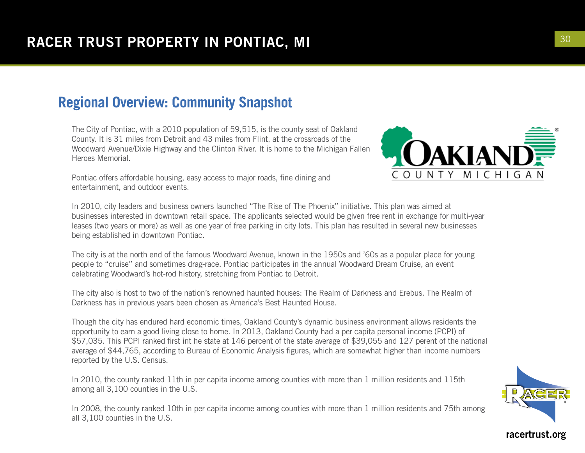#### **Regional Overview: Community Snapshot**

The City of Pontiac, with a 2010 population of 59,515, is the county seat of Oakland County. It is 31 miles from Detroit and 43 miles from Flint, at the crossroads of the Woodward Avenue/Dixie Highway and the Clinton River. It is home to the Michigan Fallen Heroes Memorial.

Pontiac offers affordable housing, easy access to major roads, fine dining and entertainment, and outdoor events.

In 2010, city leaders and business owners launched "The Rise of The Phoenix" initiative. This plan was aimed at businesses interested in downtown retail space. The applicants selected would be given free rent in exchange for multi-year leases (two years or more) as well as one year of free parking in city lots. This plan has resulted in several new businesses being established in downtown Pontiac.

The city is at the north end of the famous Woodward Avenue, known in the 1950s and '60s as a popular place for young people to "cruise" and sometimes drag-race. Pontiac participates in the annual Woodward Dream Cruise, an event celebrating Woodward's hot-rod history, stretching from Pontiac to Detroit.

The city also is host to two of the nation's renowned haunted houses: The Realm of Darkness and Erebus. The Realm of Darkness has in previous years been chosen as America's Best Haunted House.

Though the city has endured hard economic times, Oakland County's dynamic business environment allows residents the opportunity to earn a good living close to home. In 2013, Oakland County had a per capita personal income (PCPI) of \$57,035. This PCPI ranked first int he state at 146 percent of the state average of \$39,055 and 127 perent of the national average of \$44,765, according to Bureau of Economic Analysis figures, which are somewhat higher than income numbers reported by the U.S. Census.

In 2010, the county ranked 11th in per capita income among counties with more than 1 million residents and 115th among all 3,100 counties in the U.S.

In 2008, the county ranked 10th in per capita income among counties with more than 1 million residents and 75th among all 3,100 counties in the U.S.



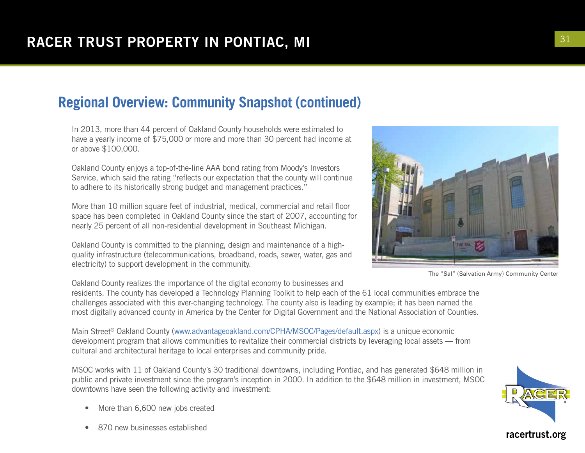#### **Regional Overview: Community Snapshot (continued)**

In 2013, more than 44 percent of Oakland County households were estimated to have a yearly income of \$75,000 or more and more than 30 percent had income at or above \$100,000.

Oakland County enjoys a top-of-the-line AAA bond rating from Moody's Investors Service, which said the rating "reflects our expectation that the county will continue to adhere to its historically strong budget and management practices."

More than 10 million square feet of industrial, medical, commercial and retail floor space has been completed in Oakland County since the start of 2007, accounting for nearly 25 percent of all non-residential development in Southeast Michigan.

Oakland County is committed to the planning, design and maintenance of a highquality infrastructure (telecommunications, broadband, roads, sewer, water, gas and electricity) to support development in the community.

Oakland County realizes the importance of the digital economy to businesses and

residents. The county has developed a Technology Planning Toolkit to help each of the 61 local communities embrace the challenges associated with this ever-changing technology. The county also is leading by example; it has been named the most digitally advanced county in America by the Center for Digital Government and the National Association of Counties.

Main Street® Oakland County (www.advantageoakland.com/CPHA/MSOC/Pages/default.aspx) is a unique economic development program that allows communities to revitalize their commercial districts by leveraging local assets — from cultural and architectural heritage to local enterprises and community pride.

MSOC works with 11 of Oakland County's 30 traditional downtowns, including Pontiac, and has generated \$648 million in public and private investment since the program's inception in 2000. In addition to the \$648 million in investment, MSOC downtowns have seen the following activity and investment:

- More than 6,600 new jobs created
- 870 new businesses established

The "Sal" (Salvation Army) Community Center



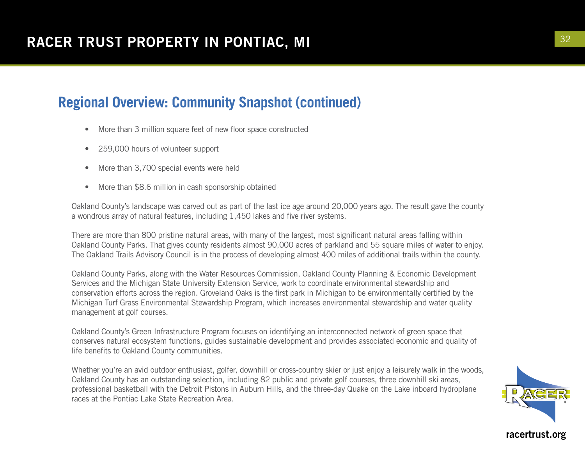#### **Regional Overview: Community Snapshot (continued)**

- More than 3 million square feet of new floor space constructed
- 259,000 hours of volunteer support
- More than 3,700 special events were held
- More than \$8.6 million in cash sponsorship obtained

Oakland County's landscape was carved out as part of the last ice age around 20,000 years ago. The result gave the county a wondrous array of natural features, including 1,450 lakes and five river systems.

There are more than 800 pristine natural areas, with many of the largest, most significant natural areas falling within Oakland County Parks. That gives county residents almost 90,000 acres of parkland and 55 square miles of water to enjoy. The Oakland Trails Advisory Council is in the process of developing almost 400 miles of additional trails within the county.

Oakland County Parks, along with the Water Resources Commission, Oakland County Planning & Economic Development Services and the Michigan State University Extension Service, work to coordinate environmental stewardship and conservation efforts across the region. Groveland Oaks is the first park in Michigan to be environmentally certified by the Michigan Turf Grass Environmental Stewardship Program, which increases environmental stewardship and water quality management at golf courses.

Oakland County's Green Infrastructure Program focuses on identifying an interconnected network of green space that conserves natural ecosystem functions, guides sustainable development and provides associated economic and quality of life benefits to Oakland County communities.

Whether you're an avid outdoor enthusiast, golfer, downhill or cross-country skier or just enjoy a leisurely walk in the woods, Oakland County has an outstanding selection, including 82 public and private golf courses, three downhill ski areas, professional basketball with the Detroit Pistons in Auburn Hills, and the three-day Quake on the Lake inboard hydroplane races at the Pontiac Lake State Recreation Area.



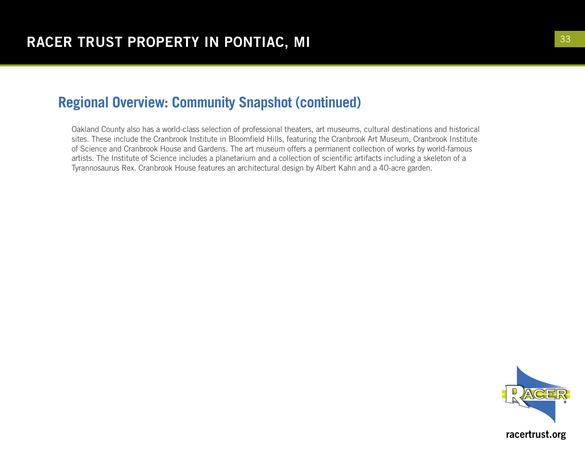#### **Regional Overview: Community Snapshot (continued)**

Oakland County also has a world-class selection of professional theaters, art museums, cultural destinations and historical sites. These include the Cranbrook Institute in Bloomfield Hills, featuring the Cranbrook Art Museum, Cranbrook Institute of Science and Cranbrook House and Gardens. The art museum offers a permanent collection of works by world-famous artists. The Institute of Science includes a planetarium and a collection of scientific artifacts including a skeleton of a Tyrannosaurus Rex. Cranbrook House features an architectural design by Albert Kahn and a 40-acre garden.

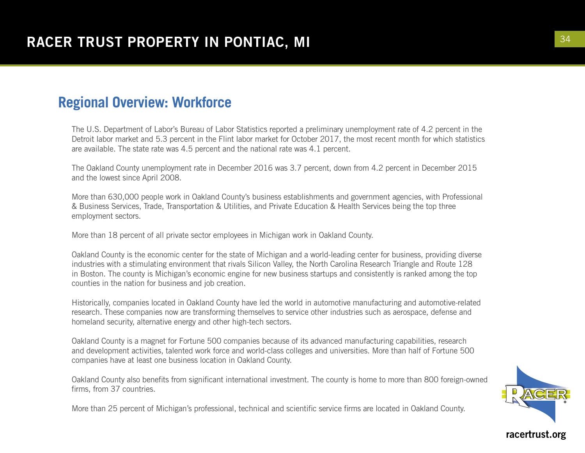#### **Regional Overview: Workforce**

The U.S. Department of Labor's Bureau of Labor Statistics reported a preliminary unemployment rate of 4.2 percent in the Detroit labor market and 5.3 percent in the Flint labor market for October 2017, the most recent month for which statistics are available. The state rate was 4.5 percent and the national rate was 4.1 percent.

The Oakland County unemployment rate in December 2016 was 3.7 percent, down from 4.2 percent in December 2015 and the lowest since April 2008.

More than 630,000 people work in Oakland County's business establishments and government agencies, with Professional & Business Services, Trade, Transportation & Utilities, and Private Education & Health Services being the top three employment sectors.

More than 18 percent of all private sector employees in Michigan work in Oakland County.

Oakland County is the economic center for the state of Michigan and a world-leading center for business, providing diverse industries with a stimulating environment that rivals Silicon Valley, the North Carolina Research Triangle and Route 128 in Boston. The county is Michigan's economic engine for new business startups and consistently is ranked among the top counties in the nation for business and job creation.

Historically, companies located in Oakland County have led the world in automotive manufacturing and automotive-related research. These companies now are transforming themselves to service other industries such as aerospace, defense and homeland security, alternative energy and other high-tech sectors.

Oakland County is a magnet for Fortune 500 companies because of its advanced manufacturing capabilities, research and development activities, talented work force and world-class colleges and universities. More than half of Fortune 500 companies have at least one business location in Oakland County.

Oakland County also benefits from significant international investment. The county is home to more than 800 foreign-owned firms, from 37 countries.

More than 25 percent of Michigan's professional, technical and scientific service firms are located in Oakland County.

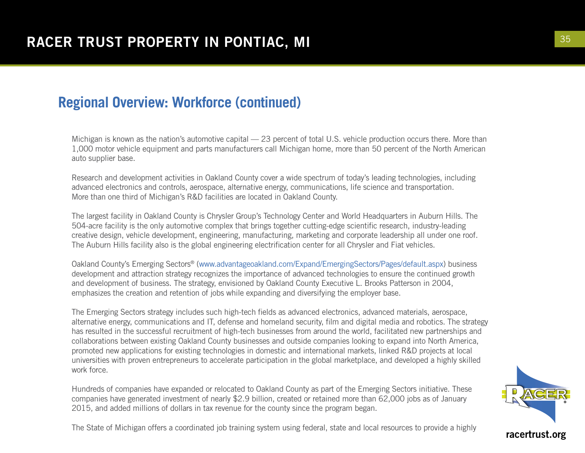#### **Regional Overview: Workforce (continued)**

Michigan is known as the nation's automotive capital — 23 percent of total U.S. vehicle production occurs there. More than 1,000 motor vehicle equipment and parts manufacturers call Michigan home, more than 50 percent of the North American auto supplier base.

Research and development activities in Oakland County cover a wide spectrum of today's leading technologies, including advanced electronics and controls, aerospace, alternative energy, communications, life science and transportation. More than one third of Michigan's R&D facilities are located in Oakland County.

The largest facility in Oakland County is Chrysler Group's Technology Center and World Headquarters in Auburn Hills. The 504-acre facility is the only automotive complex that brings together cutting-edge scientific research, industry-leading creative design, vehicle development, engineering, manufacturing, marketing and corporate leadership all under one roof. The Auburn Hills facility also is the global engineering electrification center for all Chrysler and Fiat vehicles.

Oakland County's Emerging Sectors® (www.advantageoakland.com/Expand/EmergingSectors/Pages/default.aspx) business development and attraction strategy recognizes the importance of advanced technologies to ensure the continued growth and development of business. The strategy, envisioned by Oakland County Executive L. Brooks Patterson in 2004, emphasizes the creation and retention of jobs while expanding and diversifying the employer base.

The Emerging Sectors strategy includes such high-tech fields as advanced electronics, advanced materials, aerospace, alternative energy, communications and IT, defense and homeland security, film and digital media and robotics. The strategy has resulted in the successful recruitment of high-tech businesses from around the world, facilitated new partnerships and collaborations between existing Oakland County businesses and outside companies looking to expand into North America, promoted new applications for existing technologies in domestic and international markets, linked R&D projects at local universities with proven entrepreneurs to accelerate participation in the global marketplace, and developed a highly skilled work force.

Hundreds of companies have expanded or relocated to Oakland County as part of the Emerging Sectors initiative. These companies have generated investment of nearly \$2.9 billion, created or retained more than 62,000 jobs as of January 2015, and added millions of dollars in tax revenue for the county since the program began.

The State of Michigan offers a coordinated job training system using federal, state and local resources to provide a highly

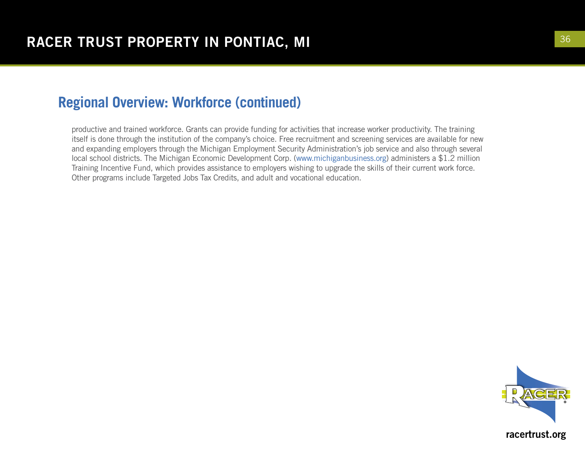#### **Regional Overview: Workforce (continued)**

productive and trained workforce. Grants can provide funding for activities that increase worker productivity. The training itself is done through the institution of the company's choice. Free recruitment and screening services are available for new and expanding employers through the Michigan Employment Security Administration's job service and also through several local school districts. The Michigan Economic Development Corp. (www.michiganbusiness.org) administers a \$1.2 million Training Incentive Fund, which provides assistance to employers wishing to upgrade the skills of their current work force. Other programs include Targeted Jobs Tax Credits, and adult and vocational education.

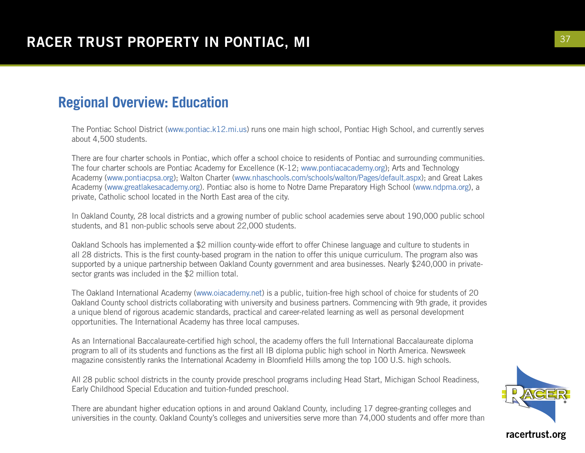#### **Regional Overview: Education**

The Pontiac School District (www.pontiac.k12.mi.us) runs one main high school, Pontiac High School, and currently serves about 4,500 students.

There are four charter schools in Pontiac, which offer a school choice to residents of Pontiac and surrounding communities. The four charter schools are Pontiac Academy for Excellence (K-12; www.pontiacacademy.org); Arts and Technology Academy (www.pontiacpsa.org); Walton Charter (www.nhaschools.com/schools/walton/Pages/default.aspx); and Great Lakes Academy (www.greatlakesacademy.org). Pontiac also is home to Notre Dame Preparatory High School (www.ndpma.org), a private, Catholic school located in the North East area of the city.

In Oakland County, 28 local districts and a growing number of public school academies serve about 190,000 public school students, and 81 non-public schools serve about 22,000 students.

Oakland Schools has implemented a \$2 million county-wide effort to offer Chinese language and culture to students in all 28 districts. This is the first county-based program in the nation to offer this unique curriculum. The program also was supported by a unique partnership between Oakland County government and area businesses. Nearly \$240,000 in privatesector grants was included in the \$2 million total.

The Oakland International Academy (www.oiacademy.net) is a public, tuition-free high school of choice for students of 20 Oakland County school districts collaborating with university and business partners. Commencing with 9th grade, it provides a unique blend of rigorous academic standards, practical and career-related learning as well as personal development opportunities. The International Academy has three local campuses.

As an International Baccalaureate-certified high school, the academy offers the full International Baccalaureate diploma program to all of its students and functions as the first all IB diploma public high school in North America. Newsweek magazine consistently ranks the International Academy in Bloomfield Hills among the top 100 U.S. high schools.

All 28 public school districts in the county provide preschool programs including Head Start, Michigan School Readiness, Early Childhood Special Education and tuition-funded preschool.

There are abundant higher education options in and around Oakland County, including 17 degree-granting colleges and universities in the county. Oakland County's colleges and universities serve more than 74,000 students and offer more than

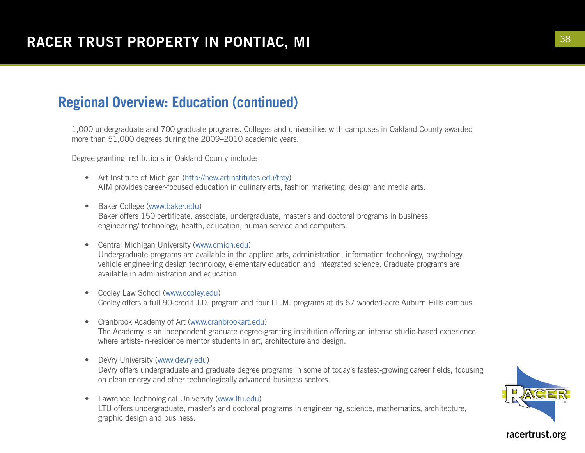#### **Regional Overview: Education (continued)**

1,000 undergraduate and 700 graduate programs. Colleges and universities with campuses in Oakland County awarded more than 51,000 degrees during the 2009–2010 academic years.

Degree-granting institutions in Oakland County include:

- Art Institute of Michigan (http://new.artinstitutes.edu/troy) AIM provides career-focused education in culinary arts, fashion marketing, design and media arts.
- Baker College (www.baker.edu) Baker offers 150 certificate, associate, undergraduate, master's and doctoral programs in business, engineering/ technology, health, education, human service and computers.
- Central Michigan University (www.cmich.edu) Undergraduate programs are available in the applied arts, administration, information technology, psychology, vehicle engineering design technology, elementary education and integrated science. Graduate programs are available in administration and education.
- Cooley Law School (www.cooley.edu) Cooley offers a full 90-credit J.D. program and four LL.M. programs at its 67 wooded-acre Auburn Hills campus.
- Cranbrook Academy of Art (www.cranbrookart.edu) The Academy is an independent graduate degree-granting institution offering an intense studio-based experience where artists-in-residence mentor students in art, architecture and design.
- DeVry University (www.devry.edu) DeVry offers undergraduate and graduate degree programs in some of today's fastest-growing career fields, focusing on clean energy and other technologically advanced business sectors.
- Lawrence Technological University (www.ltu.edu) LTU offers undergraduate, master's and doctoral programs in engineering, science, mathematics, architecture, graphic design and business.

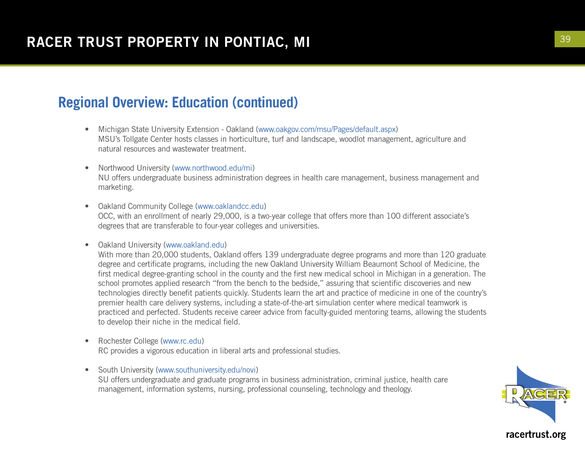#### **Regional Overview: Education (continued)**

- Michigan State University Extension Oakland (www.oakgov.com/msu/Pages/default.aspx) MSU's Tollgate Center hosts classes in horticulture, turf and landscape, woodlot management, agriculture and natural resources and wastewater treatment.
- Northwood University (www.northwood.edu/mi) NU offers undergraduate business administration degrees in health care management, business management and marketing.
- Oakland Community College (www.oaklandcc.edu) OCC, with an enrollment of nearly 29,000, is a two-year college that offers more than 100 different associate's degrees that are transferable to four-year colleges and universities.
- Oakland University (www.oakland.edu)

With more than 20,000 students, Oakland offers 139 undergraduate degree programs and more than 120 graduate degree and certificate programs, including the new Oakland University William Beaumont School of Medicine, the first medical degree-granting school in the county and the first new medical school in Michigan in a generation. The school promotes applied research "from the bench to the bedside," assuring that scientific discoveries and new technologies directly benefit patients quickly. Students learn the art and practice of medicine in one of the country's premier health care delivery systems, including a state-of-the-art simulation center where medical teamwork is practiced and perfected. Students receive career advice from faculty-guided mentoring teams, allowing the students to develop their niche in the medical field.

- Rochester College (www.rc.edu) RC provides a vigorous education in liberal arts and professional studies.
- South University (www.southuniversity.edu/novi) SU offers undergraduate and graduate programs in business administration, criminal justice, health care management, information systems, nursing, professional counseling, technology and theology.

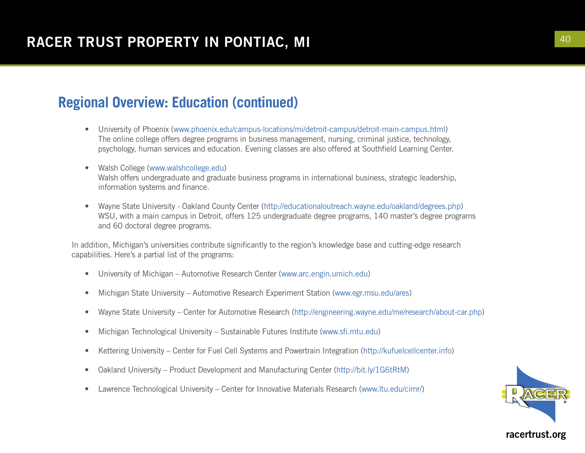#### **Regional Overview: Education (continued)**

- University of Phoenix (www.phoenix.edu/campus-locations/mi/detroit-campus/detroit-main-campus.html) The online college offers degree programs in business management, nursing, criminal justice, technology, psychology, human services and education. Evening classes are also offered at Southfield Learning Center.
- Walsh College (www.walshcollege.edu) Walsh offers undergraduate and graduate business programs in international business, strategic leadership, information systems and finance.
- Wayne State University Oakland County Center (http://educationaloutreach.wayne.edu/oakland/degrees.php) WSU, with a main campus in Detroit, offers 125 undergraduate degree programs, 140 master's degree programs and 60 doctoral degree programs.

In addition, Michigan's universities contribute significantly to the region's knowledge base and cutting-edge research capabilities. Here's a partial list of the programs:

- University of Michigan Automotive Research Center (www.arc.engin.umich.edu)
- Michigan State University Automotive Research Experiment Station (www.egr.msu.edu/ares)
- Wayne State University Center for Automotive Research (http://engineering.wayne.edu/me/research/about-car.php)
- Michigan Technological University Sustainable Futures Institute (www.sfi.mtu.edu)
- Kettering University Center for Fuel Cell Systems and Powertrain Integration (http://kufuelcellcenter.info)
- Oakland University Product Development and Manufacturing Center (http://bit.ly/1G6tRtM)
- Lawrence Technological University Center for Innovative Materials Research (www.ltu.edu/cimr/)

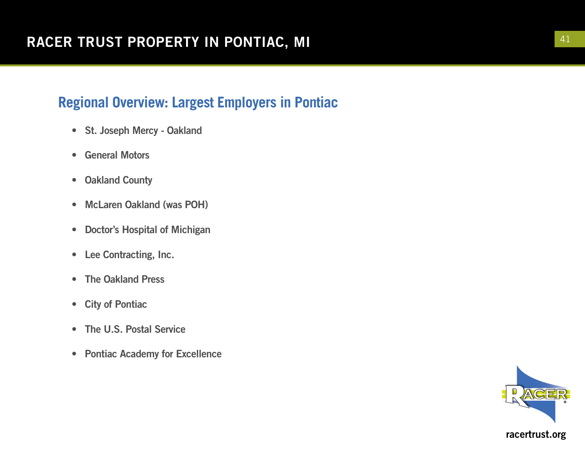# **Regional Overview: Largest Employers in Pontiac**

- St. Joseph Mercy Oakland
- General Motors
- Oakland County
- McLaren Oakland (was POH)
- Doctor's Hospital of Michigan
- Lee Contracting, Inc.
- The Oakland Press
- City of Pontiac
- The U.S. Postal Service
- Pontiac Academy for Excellence

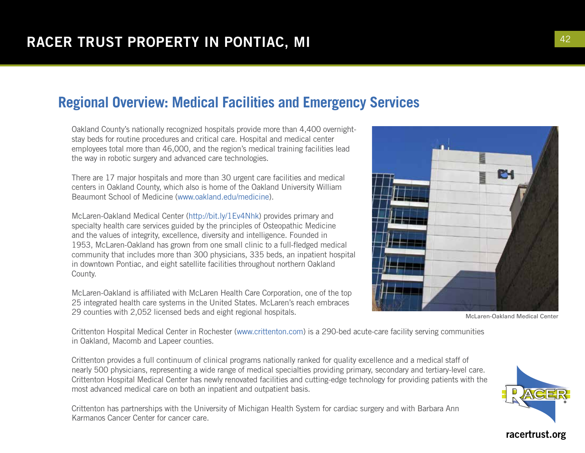## **Regional Overview: Medical Facilities and Emergency Services**

Oakland County's nationally recognized hospitals provide more than 4,400 overnightstay beds for routine procedures and critical care. Hospital and medical center employees total more than 46,000, and the region's medical training facilities lead the way in robotic surgery and advanced care technologies.

There are 17 major hospitals and more than 30 urgent care facilities and medical centers in Oakland County, which also is home of the Oakland University William Beaumont School of Medicine (www.oakland.edu/medicine).

McLaren-Oakland Medical Center (http://bit.ly/1Ev4Nhk) provides primary and specialty health care services guided by the principles of Osteopathic Medicine and the values of integrity, excellence, diversity and intelligence. Founded in 1953, McLaren-Oakland has grown from one small clinic to a full-fledged medical community that includes more than 300 physicians, 335 beds, an inpatient hospital in downtown Pontiac, and eight satellite facilities throughout northern Oakland County.

McLaren-Oakland is affiliated with McLaren Health Care Corporation, one of the top 25 integrated health care systems in the United States. McLaren's reach embraces 29 counties with 2,052 licensed beds and eight regional hospitals.



McLaren-Oakland Medical Center

Crittenton Hospital Medical Center in Rochester (www.crittenton.com) is a 290-bed acute-care facility serving communities in Oakland, Macomb and Lapeer counties.

Crittenton provides a full continuum of clinical programs nationally ranked for quality excellence and a medical staff of nearly 500 physicians, representing a wide range of medical specialties providing primary, secondary and tertiary-level care. Crittenton Hospital Medical Center has newly renovated facilities and cutting-edge technology for providing patients with the most advanced medical care on both an inpatient and outpatient basis.

Crittenton has partnerships with the University of Michigan Health System for cardiac surgery and with Barbara Ann Karmanos Cancer Center for cancer care.

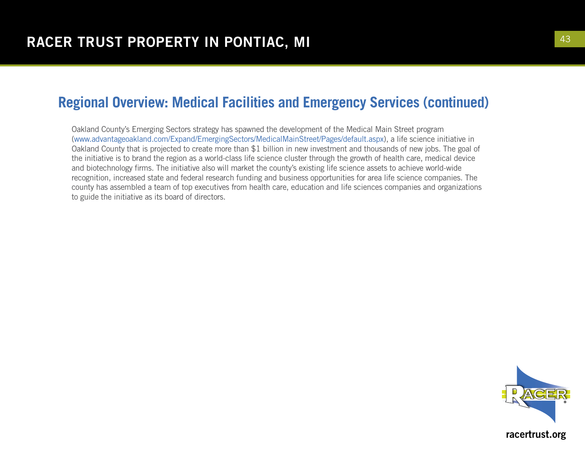#### **Regional Overview: Medical Facilities and Emergency Services (continued)**

Oakland County's Emerging Sectors strategy has spawned the development of the Medical Main Street program (www.advantageoakland.com/Expand/EmergingSectors/MedicalMainStreet/Pages/default.aspx), a life science initiative in Oakland County that is projected to create more than \$1 billion in new investment and thousands of new jobs. The goal of the initiative is to brand the region as a world-class life science cluster through the growth of health care, medical device and biotechnology firms. The initiative also will market the county's existing life science assets to achieve world-wide recognition, increased state and federal research funding and business opportunities for area life science companies. The county has assembled a team of top executives from health care, education and life sciences companies and organizations to guide the initiative as its board of directors.

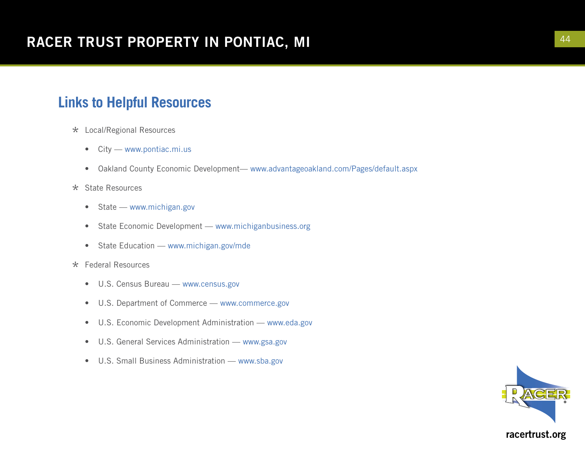## **Links to Helpful Resources**

- \* Local/Regional Resources
	- City www.pontiac.mi.us
	- Oakland County Economic Development— www.advantageoakland.com/Pages/default.aspx

#### \* State Resources

- State www.michigan.gov
- State Economic Development www.michiganbusiness.org
- State Education www.michigan.gov/mde
- \* Federal Resources
	- U.S. Census Bureau www.census.gov
	- U.S. Department of Commerce www.commerce.gov
	- U.S. Economic Development Administration www.eda.gov
	- U.S. General Services Administration www.gsa.gov
	- U.S. Small Business Administration www.sba.gov

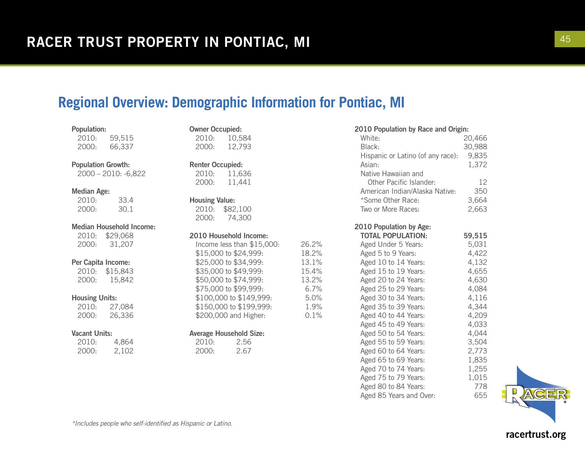#### **Regional Overview: Demographic Information for Pontiac, MI**

| <b>Population:</b> |        |
|--------------------|--------|
| 2010:              | 59,515 |
| 2000:              | 66,337 |

Population Growth:

2000 – 2010: -6,822

#### Median Age:

| 2010: | 33.4 |
|-------|------|
| 2000: | 30.1 |

#### Median Household Income:

2010: \$29,068 2000: 31,207

#### Per Capita Income:

2010: \$15,843 2000: 15,842

#### Housing Units:

| 2010: | 27,084 |
|-------|--------|
| 2000: | 26,336 |

#### Vacant Units:

| 2010: | 4,864 |
|-------|-------|
| 2000: | 2,102 |

| <b>Owner Occupied:</b>  |                            |  |  |
|-------------------------|----------------------------|--|--|
|                         | 2010: 10,584               |  |  |
|                         | 2000: 12,793               |  |  |
|                         |                            |  |  |
| <b>Renter Occupied:</b> |                            |  |  |
|                         | 2010: 11,636               |  |  |
|                         | 2000: 11,441               |  |  |
|                         |                            |  |  |
| <b>Housing Value:</b>   |                            |  |  |
|                         | 2010: \$82,100             |  |  |
|                         | 2000: 74,300               |  |  |
|                         | 2010 Household Income:     |  |  |
|                         | Income less than \$15,000: |  |  |
| \$15,000 to \$24,999:   |                            |  |  |
| \$25,000 to \$34,999:   |                            |  |  |
|                         |                            |  |  |
|                         | \$35,000 to \$49,999:      |  |  |
|                         | \$50,000 to \$74,999:      |  |  |
|                         | \$75,000 to \$99,999:      |  |  |
|                         | \$100,000 to \$149,999:    |  |  |
|                         | \$150,000 to \$199,999:    |  |  |
|                         | \$200,000 and Higher:      |  |  |
|                         |                            |  |  |

26.2% 18.2% 13.1% 15.4% 13.2%  $6.7%$  $5.0%$ 1.9%  $0.1%$ 

#### Average Household Size:

2010: 2.56 2000: 2.67

| 2010 Population by Race and Origin: |  |  |  |  |
|-------------------------------------|--|--|--|--|
|-------------------------------------|--|--|--|--|

| White:                            | 20,466 |
|-----------------------------------|--------|
| Black:                            | 30,988 |
| Hispanic or Latino (of any race): | 9,835  |
| Asian:                            | 1,372  |
| Native Hawaiian and               |        |
| Other Pacific Islander:           | 12     |
| American Indian/Alaska Native:    | 350    |
| *Some Other Race:                 | 3,664  |
| Two or More Races:                | 2,663  |

2010 Population by Age:

| <b>TOTAL POPULATION:</b> | 59,515 |
|--------------------------|--------|
| Aged Under 5 Years:      | 5.031  |
| Aged 5 to 9 Years:       | 4,422  |
| Aged 10 to 14 Years:     | 4.132  |
| Aged 15 to 19 Years:     | 4.655  |
| Aged 20 to 24 Years:     | 4,630  |
| Aged 25 to 29 Years:     | 4,084  |
| Aged 30 to 34 Years:     | 4,116  |
| Aged 35 to 39 Years:     | 4.344  |
| Aged 40 to 44 Years:     | 4,209  |
| Aged 45 to 49 Years:     | 4.033  |
| Aged 50 to 54 Years:     | 4,044  |
| Aged 55 to 59 Years:     | 3,504  |
| Aged 60 to 64 Years:     | 2,773  |
| Aged 65 to 69 Years:     | 1,835  |
| Aged 70 to 74 Years:     | 1,255  |
| Aged 75 to 79 Years:     | 1,015  |
| Aged 80 to 84 Years:     | 778    |
| Aged 85 Years and Over:  | 655    |
|                          |        |



*\*Includes people who self-identified as Hispanic or Latino.*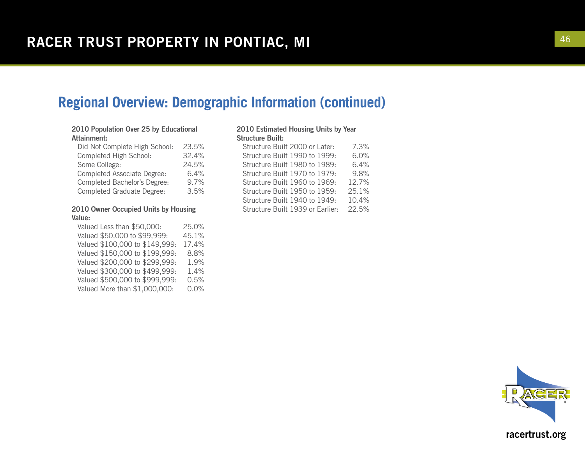#### **Regional Overview: Demographic Information (continued)**

#### 2010 Population Over 25 by Educational Attainment:

| Did Not Complete High School:     | 23.5% |
|-----------------------------------|-------|
| Completed High School:            | 32.4% |
| Some College:                     | 24.5% |
| Completed Associate Degree:       | 6.4%  |
| Completed Bachelor's Degree:      | 9.7%  |
| <b>Completed Graduate Degree:</b> | 3.5%  |

#### 2010 Owner Occupied Units by Housing Value:

Valued Less than \$50,000: 25.0% Valued \$50,000 to \$99,999: 45.1% Valued \$100,000 to \$149,999: 17.4% Valued \$150,000 to \$199,999: 8.8% Valued \$200,000 to \$299,999: 1.9% Valued \$300,000 to \$499,999: 1.4% Valued \$500,000 to \$999,999: 0.5% Valued More than \$1,000,000: 0.0%

#### 2010 Estimated Housing Units by Year Structure Built:

| Structure Built 2000 or Later:   |  |  |  |  | 7.3%  |  |  |
|----------------------------------|--|--|--|--|-------|--|--|
| Structure Built 1990 to 1999:    |  |  |  |  | 6.0%  |  |  |
| Structure Built 1980 to 1989:    |  |  |  |  | 6.4%  |  |  |
| Structure Built 1970 to 1979:    |  |  |  |  | 9.8%  |  |  |
| Structure Built 1960 to 1969:    |  |  |  |  | 12.7% |  |  |
| Structure Built 1950 to 1959:    |  |  |  |  | 25.1% |  |  |
| Structure Built 1940 to 1949:    |  |  |  |  | 10.4% |  |  |
| Structure Built 1939 or Earlier: |  |  |  |  | 22.5% |  |  |
|                                  |  |  |  |  |       |  |  |

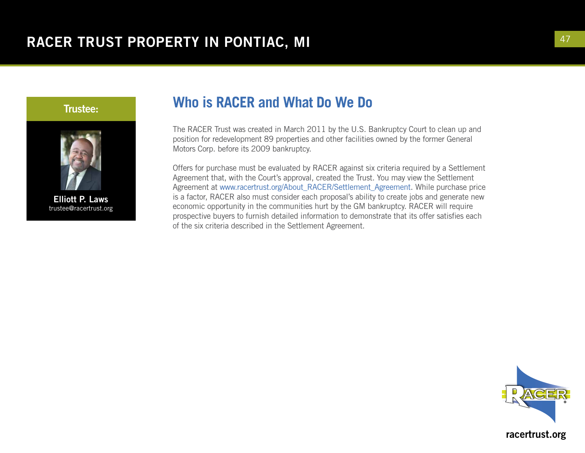



Elliott P. Laws trustee@racertrust.org

## **Who is RACER and What Do We Do**

The RACER Trust was created in March 2011 by the U.S. Bankruptcy Court to clean up and position for redevelopment 89 properties and other facilities owned by the former General Motors Corp. before its 2009 bankruptcy.

Offers for purchase must be evaluated by RACER against six criteria required by a Settlement Agreement that, with the Court's approval, created the Trust. You may view the Settlement Agreement at www.racertrust.org/About\_RACER/Settlement\_Agreement. While purchase price is a factor, RACER also must consider each proposal's ability to create jobs and generate new economic opportunity in the communities hurt by the GM bankruptcy. RACER will require prospective buyers to furnish detailed information to demonstrate that its offer satisfies each of the six criteria described in the Settlement Agreement.

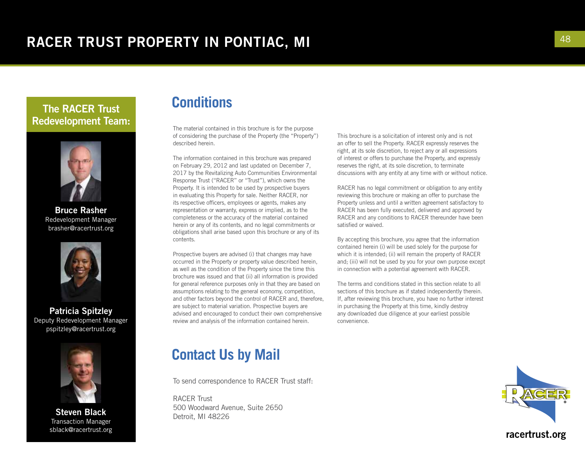#### The RACER Trust Redevelopment Team:



Bruce Rasher Redevelopment Manager brasher@racertrust.org



Patricia Spitzley Deputy Redevelopment Manager pspitzley@racertrust.org



Steven Black Transaction Manager sblack@racertrust.org

#### **Conditions**

The material contained in this brochure is for the purpose of considering the purchase of the Property (the "Property") described herein.

The information contained in this brochure was prepared on February 29, 2012 and last updated on December 7, 2017 by the Revitalizing Auto Communities Environmental Response Trust ("RACER" or "Trust"), which owns the Property. It is intended to be used by prospective buyers in evaluating this Property for sale. Neither RACER, nor its respective officers, employees or agents, makes any representation or warranty, express or implied, as to the completeness or the accuracy of the material contained herein or any of its contents, and no legal commitments or obligations shall arise based upon this brochure or any of its contents.

Prospective buyers are advised (i) that changes may have occurred in the Property or property value described herein, as well as the condition of the Property since the time this brochure was issued and that (ii) all information is provided for general reference purposes only in that they are based on assumptions relating to the general economy, competition, and other factors beyond the control of RACER and, therefore, are subject to material variation. Prospective buyers are advised and encouraged to conduct their own comprehensive review and analysis of the information contained herein.

#### **Contact Us by Mail**

To send correspondence to RACER Trust staff:

RACER Trust 500 Woodward Avenue, Suite 2650 Detroit, MI 48226

This brochure is a solicitation of interest only and is not an offer to sell the Property. RACER expressly reserves the right, at its sole discretion, to reject any or all expressions of interest or offers to purchase the Property, and expressly reserves the right, at its sole discretion, to terminate discussions with any entity at any time with or without notice.

RACER has no legal commitment or obligation to any entity reviewing this brochure or making an offer to purchase the Property unless and until a written agreement satisfactory to RACER has been fully executed, delivered and approved by RACER and any conditions to RACER thereunder have been satisfied or waived.

By accepting this brochure, you agree that the information contained herein (i) will be used solely for the purpose for which it is intended; (ii) will remain the property of RACER and; (iii) will not be used by you for your own purpose except in connection with a potential agreement with RACER.

The terms and conditions stated in this section relate to all sections of this brochure as if stated independently therein. If, after reviewing this brochure, you have no further interest in purchasing the Property at this time, kindly destroy any downloaded due diligence at your earliest possible convenience.

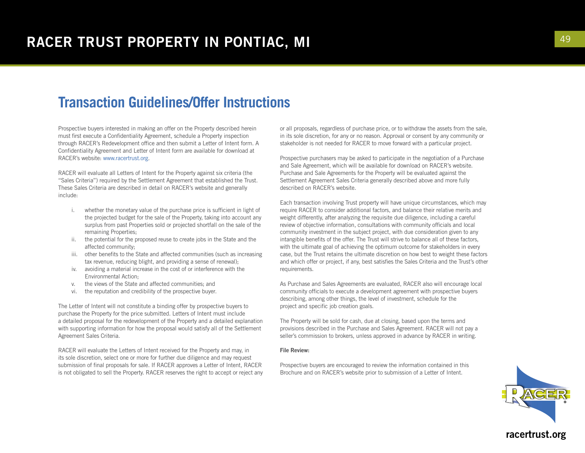#### **Transaction Guidelines/Offer Instructions**

Prospective buyers interested in making an offer on the Property described herein must first execute a Confidentiality Agreement, schedule a Property inspection through RACER's Redevelopment office and then submit a Letter of Intent form. A Confidentiality Agreement and Letter of Intent form are available for download at RACER's website: www.racertrust.org.

RACER will evaluate all Letters of Intent for the Property against six criteria (the "Sales Criteria") required by the Settlement Agreement that established the Trust. These Sales Criteria are described in detail on RACER's website and generally include:

- i. whether the monetary value of the purchase price is sufficient in light of the projected budget for the sale of the Property, taking into account any surplus from past Properties sold or projected shortfall on the sale of the remaining Properties;
- ii. the potential for the proposed reuse to create jobs in the State and the affected community;
- iii. other benefits to the State and affected communities (such as increasing tax revenue, reducing blight, and providing a sense of renewal);
- iv. avoiding a material increase in the cost of or interference with the Environmental Action;
- v. the views of the State and affected communities; and
- vi. the reputation and credibility of the prospective buyer.

The Letter of Intent will not constitute a binding offer by prospective buyers to purchase the Property for the price submitted. Letters of Intent must include a detailed proposal for the redevelopment of the Property and a detailed explanation with supporting information for how the proposal would satisfy all of the Settlement Agreement Sales Criteria.

RACER will evaluate the Letters of Intent received for the Property and may, in its sole discretion, select one or more for further due diligence and may request submission of final proposals for sale. If RACER approves a Letter of Intent, RACER is not obligated to sell the Property. RACER reserves the right to accept or reject any or all proposals, regardless of purchase price, or to withdraw the assets from the sale, in its sole discretion, for any or no reason. Approval or consent by any community or stakeholder is not needed for RACER to move forward with a particular project.

Prospective purchasers may be asked to participate in the negotiation of a Purchase and Sale Agreement, which will be available for download on RACER's website. Purchase and Sale Agreements for the Property will be evaluated against the Settlement Agreement Sales Criteria generally described above and more fully described on RACER's website.

Each transaction involving Trust property will have unique circumstances, which may require RACER to consider additional factors, and balance their relative merits and weight differently, after analyzing the requisite due diligence, including a careful review of objective information, consultations with community officials and local community investment in the subject project, with due consideration given to any intangible benefits of the offer. The Trust will strive to balance all of these factors, with the ultimate goal of achieving the optimum outcome for stakeholders in every case, but the Trust retains the ultimate discretion on how best to weight these factors and which offer or project, if any, best satisfies the Sales Criteria and the Trust's other requirements.

As Purchase and Sales Agreements are evaluated, RACER also will encourage local community officials to execute a development agreement with prospective buyers describing, among other things, the level of investment, schedule for the project and specific job creation goals.

The Property will be sold for cash, due at closing, based upon the terms and provisions described in the Purchase and Sales Agreement. RACER will not pay a seller's commission to brokers, unless approved in advance by RACER in writing.

#### File Review:

Prospective buyers are encouraged to review the information contained in this Brochure and on RACER's website prior to submission of a Letter of Intent.